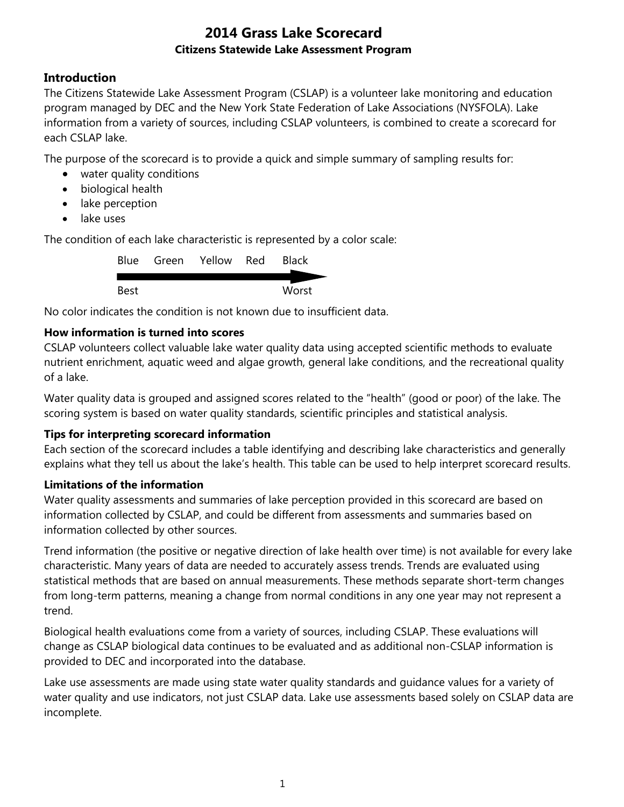## **Introduction**

The Citizens Statewide Lake Assessment Program (CSLAP) is a volunteer lake monitoring and education program managed by DEC and the New York State Federation of Lake Associations (NYSFOLA). Lake information from a variety of sources, including CSLAP volunteers, is combined to create a scorecard for each CSLAP lake.

The purpose of the scorecard is to provide a quick and simple summary of sampling results for:

- water quality conditions
- biological health
- lake perception
- lake uses

The condition of each lake characteristic is represented by a color scale:

|      | Blue Green Yellow Red | <b>Black</b> |
|------|-----------------------|--------------|
|      |                       |              |
| Best |                       | Worst        |

No color indicates the condition is not known due to insufficient data.

### **How information is turned into scores**

CSLAP volunteers collect valuable lake water quality data using accepted scientific methods to evaluate nutrient enrichment, aquatic weed and algae growth, general lake conditions, and the recreational quality of a lake.

Water quality data is grouped and assigned scores related to the "health" (good or poor) of the lake. The scoring system is based on water quality standards, scientific principles and statistical analysis.

### **Tips for interpreting scorecard information**

Each section of the scorecard includes a table identifying and describing lake characteristics and generally explains what they tell us about the lake's health. This table can be used to help interpret scorecard results.

### **Limitations of the information**

Water quality assessments and summaries of lake perception provided in this scorecard are based on information collected by CSLAP, and could be different from assessments and summaries based on information collected by other sources.

Trend information (the positive or negative direction of lake health over time) is not available for every lake characteristic. Many years of data are needed to accurately assess trends. Trends are evaluated using statistical methods that are based on annual measurements. These methods separate short-term changes from long-term patterns, meaning a change from normal conditions in any one year may not represent a trend.

Biological health evaluations come from a variety of sources, including CSLAP. These evaluations will change as CSLAP biological data continues to be evaluated and as additional non-CSLAP information is provided to DEC and incorporated into the database.

Lake use assessments are made using state water quality standards and guidance values for a variety of water quality and use indicators, not just CSLAP data. Lake use assessments based solely on CSLAP data are incomplete.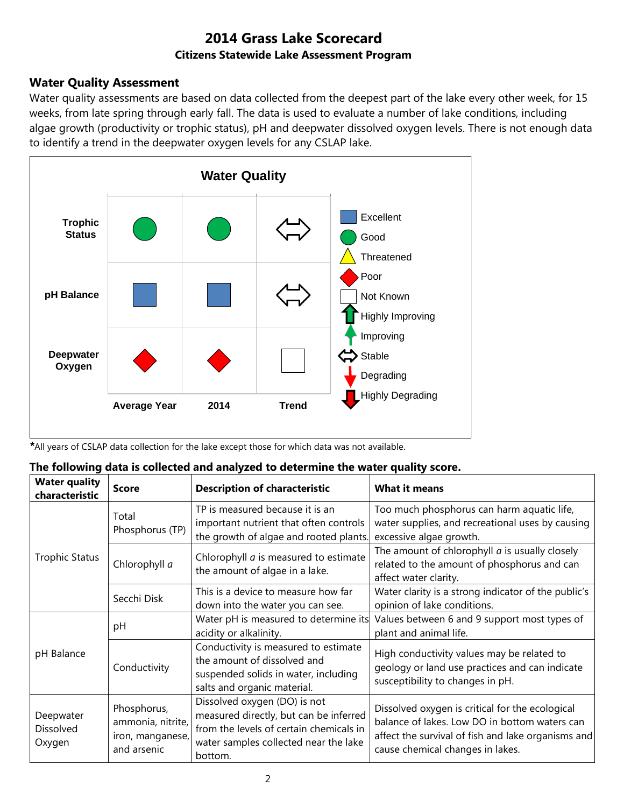### **Water Quality Assessment**

Water quality assessments are based on data collected from the deepest part of the lake every other week, for 15 weeks, from late spring through early fall. The data is used to evaluate a number of lake conditions, including algae growth (productivity or trophic status), pH and deepwater dissolved oxygen levels. There is not enough data to identify a trend in the deepwater oxygen levels for any CSLAP lake.



*\**All years of CSLAP data collection for the lake except those for which data was not available.

| The following data is collected and analyzed to determine the water quality score. |  |  |  |
|------------------------------------------------------------------------------------|--|--|--|
|                                                                                    |  |  |  |

| <b>Water quality</b><br>characteristic | <b>Score</b>                                                        | <b>Description of characteristic</b>                                                                                                                                  | What it means                                                                                                                                                                              |
|----------------------------------------|---------------------------------------------------------------------|-----------------------------------------------------------------------------------------------------------------------------------------------------------------------|--------------------------------------------------------------------------------------------------------------------------------------------------------------------------------------------|
|                                        | Total<br>Phosphorus (TP)                                            | TP is measured because it is an<br>important nutrient that often controls<br>the growth of algae and rooted plants.                                                   | Too much phosphorus can harm aquatic life,<br>water supplies, and recreational uses by causing<br>excessive algae growth.                                                                  |
| <b>Trophic Status</b>                  | Chlorophyll a                                                       | Chlorophyll <i>a</i> is measured to estimate<br>the amount of algae in a lake.                                                                                        | The amount of chlorophyll $a$ is usually closely<br>related to the amount of phosphorus and can<br>affect water clarity.                                                                   |
|                                        | Secchi Disk                                                         | This is a device to measure how far<br>down into the water you can see.                                                                                               | Water clarity is a strong indicator of the public's<br>opinion of lake conditions.                                                                                                         |
|                                        | рH                                                                  | Water pH is measured to determine its<br>acidity or alkalinity.                                                                                                       | Values between 6 and 9 support most types of<br>plant and animal life.                                                                                                                     |
| pH Balance                             | Conductivity                                                        | Conductivity is measured to estimate<br>the amount of dissolved and<br>suspended solids in water, including<br>salts and organic material.                            | High conductivity values may be related to<br>geology or land use practices and can indicate<br>susceptibility to changes in pH.                                                           |
| Deepwater<br>Dissolved<br>Oxygen       | Phosphorus,<br>ammonia, nitrite,<br>iron, manganese,<br>and arsenic | Dissolved oxygen (DO) is not<br>measured directly, but can be inferred<br>from the levels of certain chemicals in<br>water samples collected near the lake<br>bottom. | Dissolved oxygen is critical for the ecological<br>balance of lakes. Low DO in bottom waters can<br>affect the survival of fish and lake organisms and<br>cause chemical changes in lakes. |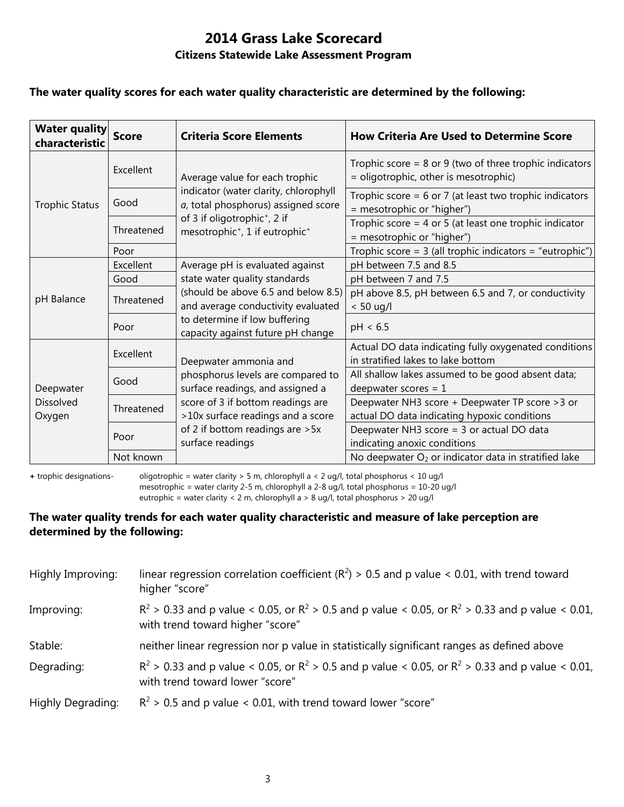### **The water quality scores for each water quality characteristic are determined by the following:**

| <b>Water quality</b><br>characteristic  | <b>Score</b> | <b>Criteria Score Elements</b>                                                                     | <b>How Criteria Are Used to Determine Score</b>                                                      |
|-----------------------------------------|--------------|----------------------------------------------------------------------------------------------------|------------------------------------------------------------------------------------------------------|
|                                         | Excellent    | Average value for each trophic                                                                     | Trophic score = $8$ or $9$ (two of three trophic indicators<br>= oligotrophic, other is mesotrophic) |
| <b>Trophic Status</b>                   | Good         | indicator (water clarity, chlorophyll<br>a, total phosphorus) assigned score                       | Trophic score = $6$ or 7 (at least two trophic indicators<br>= mesotrophic or "higher")              |
|                                         | Threatened   | of 3 if oligotrophic <sup>+</sup> , 2 if<br>mesotrophic <sup>+</sup> , 1 if eutrophic <sup>+</sup> | Trophic score = $4$ or $5$ (at least one trophic indicator<br>= mesotrophic or "higher")             |
|                                         | Poor         |                                                                                                    | Trophic score = $3$ (all trophic indicators = "eutrophic")                                           |
|                                         | Excellent    | Average pH is evaluated against                                                                    | pH between 7.5 and 8.5                                                                               |
|                                         | Good         | state water quality standards                                                                      | pH between 7 and 7.5                                                                                 |
| pH Balance                              | Threatened   | (should be above 6.5 and below 8.5)<br>and average conductivity evaluated                          | pH above 8.5, pH between 6.5 and 7, or conductivity<br>$< 50$ ug/l                                   |
|                                         | Poor         | to determine if low buffering<br>capacity against future pH change                                 | pH < 6.5                                                                                             |
| Deepwater<br><b>Dissolved</b><br>Oxygen | Excellent    | Deepwater ammonia and                                                                              | Actual DO data indicating fully oxygenated conditions<br>in stratified lakes to lake bottom          |
|                                         | Good         | phosphorus levels are compared to<br>surface readings, and assigned a                              | All shallow lakes assumed to be good absent data;<br>deepwater scores = $1$                          |
|                                         | Threatened   | score of 3 if bottom readings are<br>>10x surface readings and a score                             | Deepwater NH3 score + Deepwater TP score > 3 or<br>actual DO data indicating hypoxic conditions      |
|                                         | Poor         | of 2 if bottom readings are > 5x<br>surface readings                                               | Deepwater NH3 score = 3 or actual DO data<br>indicating anoxic conditions                            |
|                                         | Not known    |                                                                                                    | No deepwater O <sub>2</sub> or indicator data in stratified lake                                     |

**+** trophic designations- oligotrophic = water clarity > 5 m, chlorophyll a < 2 ug/l, total phosphorus < 10 ug/l mesotrophic = water clarity 2-5 m, chlorophyll a 2-8 ug/l, total phosphorus = 10-20 ug/l

eutrophic = water clarity < 2 m, chlorophyll a > 8 ug/l, total phosphorus > 20 ug/l

### **The water quality trends for each water quality characteristic and measure of lake perception are determined by the following:**

| Highly Improving:        | linear regression correlation coefficient ( $R^2$ ) > 0.5 and p value < 0.01, with trend toward<br>higher "score"                           |
|--------------------------|---------------------------------------------------------------------------------------------------------------------------------------------|
| Improving:               | $R^2 > 0.33$ and p value < 0.05, or $R^2 > 0.5$ and p value < 0.05, or $R^2 > 0.33$ and p value < 0.01,<br>with trend toward higher "score" |
| Stable:                  | neither linear regression nor p value in statistically significant ranges as defined above                                                  |
| Degrading:               | $R^2 > 0.33$ and p value < 0.05, or $R^2 > 0.5$ and p value < 0.05, or $R^2 > 0.33$ and p value < 0.01,<br>with trend toward lower "score"  |
| <b>Highly Degrading:</b> | $R^2$ > 0.5 and p value < 0.01, with trend toward lower "score"                                                                             |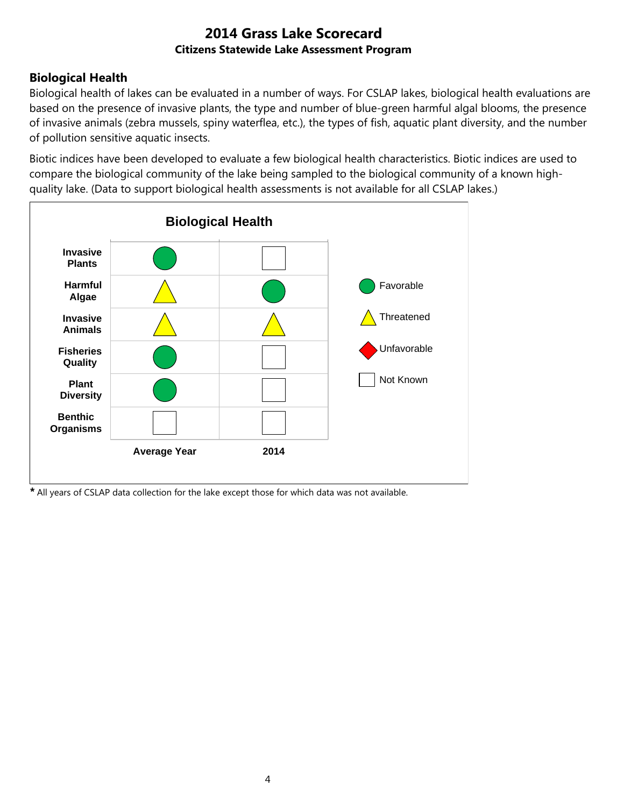## **Biological Health**

Biological health of lakes can be evaluated in a number of ways. For CSLAP lakes, biological health evaluations are based on the presence of invasive plants, the type and number of blue-green harmful algal blooms, the presence of invasive animals (zebra mussels, spiny waterflea, etc.), the types of fish, aquatic plant diversity, and the number of pollution sensitive aquatic insects.

Biotic indices have been developed to evaluate a few biological health characteristics. Biotic indices are used to compare the biological community of the lake being sampled to the biological community of a known highquality lake. (Data to support biological health assessments is not available for all CSLAP lakes.)



*\** All years of CSLAP data collection for the lake except those for which data was not available.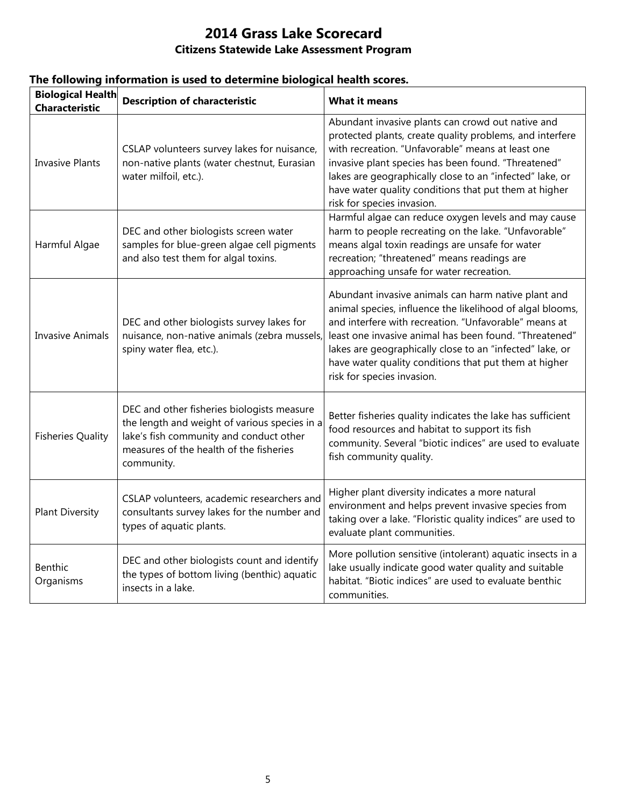| <b>Biological Health</b><br><b>Characteristic</b> | <b>Description of characteristic</b>                                                                                                                                                            | <b>What it means</b>                                                                                                                                                                                                                                                                                                                                                                   |
|---------------------------------------------------|-------------------------------------------------------------------------------------------------------------------------------------------------------------------------------------------------|----------------------------------------------------------------------------------------------------------------------------------------------------------------------------------------------------------------------------------------------------------------------------------------------------------------------------------------------------------------------------------------|
| <b>Invasive Plants</b>                            | CSLAP volunteers survey lakes for nuisance,<br>non-native plants (water chestnut, Eurasian<br>water milfoil, etc.).                                                                             | Abundant invasive plants can crowd out native and<br>protected plants, create quality problems, and interfere<br>with recreation. "Unfavorable" means at least one<br>invasive plant species has been found. "Threatened"<br>lakes are geographically close to an "infected" lake, or<br>have water quality conditions that put them at higher<br>risk for species invasion.           |
| Harmful Algae                                     | DEC and other biologists screen water<br>samples for blue-green algae cell pigments<br>and also test them for algal toxins.                                                                     | Harmful algae can reduce oxygen levels and may cause<br>harm to people recreating on the lake. "Unfavorable"<br>means algal toxin readings are unsafe for water<br>recreation; "threatened" means readings are<br>approaching unsafe for water recreation.                                                                                                                             |
| <b>Invasive Animals</b>                           | DEC and other biologists survey lakes for<br>nuisance, non-native animals (zebra mussels,<br>spiny water flea, etc.).                                                                           | Abundant invasive animals can harm native plant and<br>animal species, influence the likelihood of algal blooms,<br>and interfere with recreation. "Unfavorable" means at<br>least one invasive animal has been found. "Threatened"<br>lakes are geographically close to an "infected" lake, or<br>have water quality conditions that put them at higher<br>risk for species invasion. |
| <b>Fisheries Quality</b>                          | DEC and other fisheries biologists measure<br>the length and weight of various species in a<br>lake's fish community and conduct other<br>measures of the health of the fisheries<br>community. | Better fisheries quality indicates the lake has sufficient<br>food resources and habitat to support its fish<br>community. Several "biotic indices" are used to evaluate<br>fish community quality.                                                                                                                                                                                    |
| <b>Plant Diversity</b>                            | CSLAP volunteers, academic researchers and<br>consultants survey lakes for the number and<br>types of aquatic plants.                                                                           | Higher plant diversity indicates a more natural<br>environment and helps prevent invasive species from<br>taking over a lake. "Floristic quality indices" are used to<br>evaluate plant communities.                                                                                                                                                                                   |
| Benthic<br>Organisms                              | DEC and other biologists count and identify<br>the types of bottom living (benthic) aquatic<br>insects in a lake.                                                                               | More pollution sensitive (intolerant) aquatic insects in a<br>lake usually indicate good water quality and suitable<br>habitat. "Biotic indices" are used to evaluate benthic<br>communities.                                                                                                                                                                                          |

### **The following information is used to determine biological health scores.**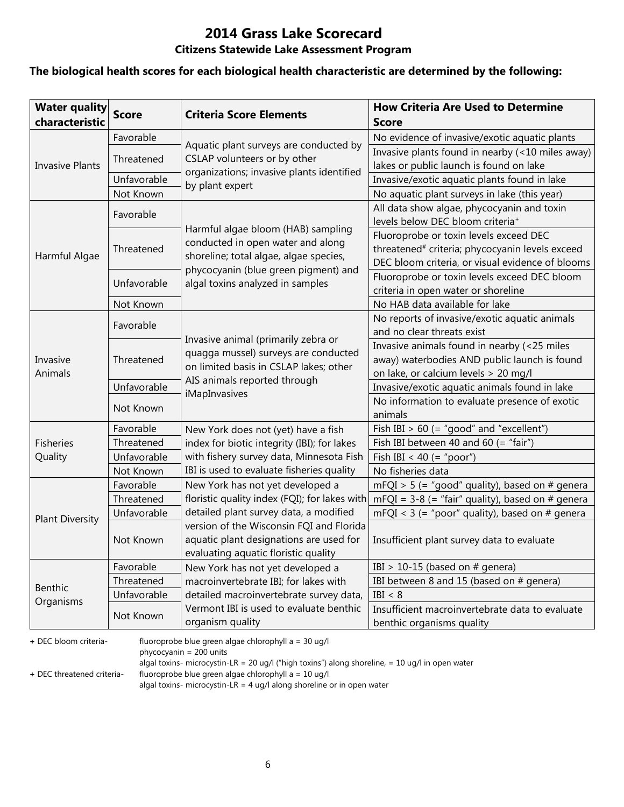### **The biological health scores for each biological health characteristic are determined by the following:**

| <b>Water quality</b><br>characteristic | <b>Score</b> | <b>Criteria Score Elements</b>                                         | <b>How Criteria Are Used to Determine</b><br><b>Score</b>   |
|----------------------------------------|--------------|------------------------------------------------------------------------|-------------------------------------------------------------|
|                                        | Favorable    |                                                                        | No evidence of invasive/exotic aquatic plants               |
|                                        | Threatened   | Aquatic plant surveys are conducted by<br>CSLAP volunteers or by other | Invasive plants found in nearby (<10 miles away)            |
| <b>Invasive Plants</b>                 |              | organizations; invasive plants identified                              | lakes or public launch is found on lake                     |
|                                        | Unfavorable  | by plant expert                                                        | Invasive/exotic aquatic plants found in lake                |
|                                        | Not Known    |                                                                        | No aquatic plant surveys in lake (this year)                |
|                                        | Favorable    |                                                                        | All data show algae, phycocyanin and toxin                  |
|                                        |              | Harmful algae bloom (HAB) sampling                                     | levels below DEC bloom criteria <sup>+</sup>                |
|                                        |              | conducted in open water and along                                      | Fluoroprobe or toxin levels exceed DEC                      |
| Harmful Algae                          | Threatened   | shoreline; total algae, algae species,                                 | threatened <sup>#</sup> criteria; phycocyanin levels exceed |
|                                        |              | phycocyanin (blue green pigment) and                                   | DEC bloom criteria, or visual evidence of blooms            |
|                                        | Unfavorable  | algal toxins analyzed in samples                                       | Fluoroprobe or toxin levels exceed DEC bloom                |
|                                        |              |                                                                        | criteria in open water or shoreline                         |
|                                        | Not Known    |                                                                        | No HAB data available for lake                              |
|                                        | Favorable    |                                                                        | No reports of invasive/exotic aquatic animals               |
|                                        |              | Invasive animal (primarily zebra or                                    | and no clear threats exist                                  |
|                                        | Threatened   | quagga mussel) surveys are conducted                                   | Invasive animals found in nearby (<25 miles                 |
| Invasive                               |              | on limited basis in CSLAP lakes; other                                 | away) waterbodies AND public launch is found                |
| Animals                                |              | AIS animals reported through                                           | on lake, or calcium levels > 20 mg/l                        |
|                                        | Unfavorable  | iMapInvasives                                                          | Invasive/exotic aquatic animals found in lake               |
|                                        | Not Known    |                                                                        | No information to evaluate presence of exotic<br>animals    |
|                                        | Favorable    | New York does not (yet) have a fish                                    | Fish IBI $> 60$ (= "good" and "excellent")                  |
| <b>Fisheries</b>                       | Threatened   | index for biotic integrity (IBI); for lakes                            | Fish IBI between 40 and 60 $($ = "fair")                    |
| Quality                                | Unfavorable  | with fishery survey data, Minnesota Fish                               | Fish IBI < 40 (= "poor")                                    |
|                                        | Not Known    | IBI is used to evaluate fisheries quality                              | No fisheries data                                           |
|                                        | Favorable    | New York has not yet developed a                                       | $mFQI > 5$ (= "good" quality), based on # genera            |
|                                        | Threatened   | floristic quality index (FQI); for lakes with                          | $mFQI = 3-8$ (= "fair" quality), based on # genera          |
|                                        | Unfavorable  | detailed plant survey data, a modified                                 | mFQI < $3$ (= "poor" quality), based on # genera            |
| <b>Plant Diversity</b>                 |              | version of the Wisconsin FQI and Florida                               |                                                             |
|                                        | Not Known    | aquatic plant designations are used for                                | Insufficient plant survey data to evaluate                  |
|                                        |              | evaluating aquatic floristic quality                                   |                                                             |
|                                        | Favorable    | New York has not yet developed a                                       | IBI > 10-15 (based on $#$ genera)                           |
| <b>Benthic</b>                         | Threatened   | macroinvertebrate IBI; for lakes with                                  | IBI between 8 and 15 (based on # genera)                    |
| Organisms                              | Unfavorable  | detailed macroinvertebrate survey data,                                | IBI < 8                                                     |
|                                        | Not Known    | Vermont IBI is used to evaluate benthic                                | Insufficient macroinvertebrate data to evaluate             |
|                                        |              | organism quality                                                       | benthic organisms quality                                   |

**+** DEC bloom criteria- fluoroprobe blue green algae chlorophyll a = 30 ug/l

phycocyanin = 200 units

algal toxins- microcystin-LR = 20 ug/l ("high toxins") along shoreline, = 10 ug/l in open water

**+** DEC threatened criteria- fluoroprobe blue green algae chlorophyll a = 10 ug/l

algal toxins- microcystin-LR = 4 ug/l along shoreline or in open water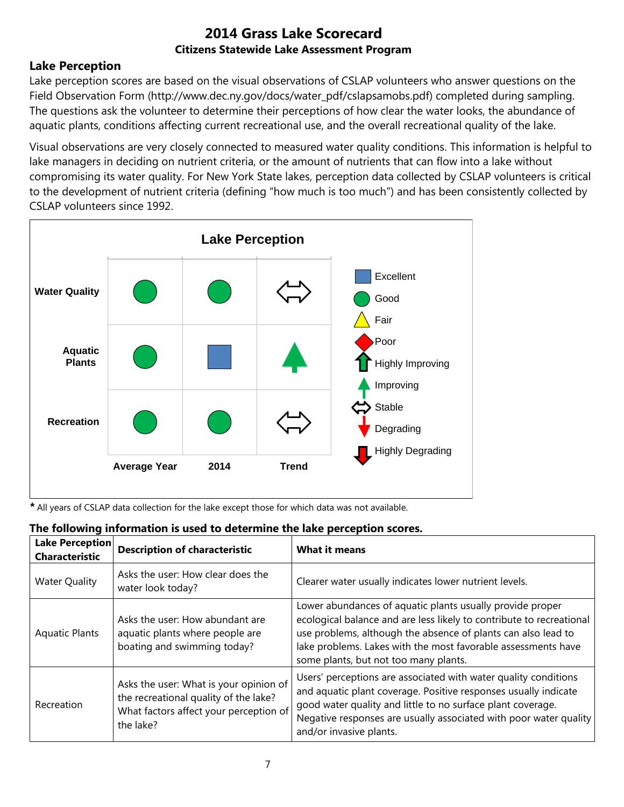## **Lake Perception**

Lake perception scores are based on the visual observations of CSLAP volunteers who answer questions on the Field Observation Form (http://www.dec.ny.gov/docs/water\_pdf/cslapsamobs.pdf) completed during sampling. The questions ask the volunteer to determine their perceptions of how clear the water looks, the abundance of aquatic plants, conditions affecting current recreational use, and the overall recreational quality of the lake.

Visual observations are very closely connected to measured water quality conditions. This information is helpful to lake managers in deciding on nutrient criteria, or the amount of nutrients that can flow into a lake without compromising its water quality. For New York State lakes, perception data collected by CSLAP volunteers is critical to the development of nutrient criteria (defining "how much is too much") and has been consistently collected by CSLAP volunteers since 1992.



*\** All years of CSLAP data collection for the lake except those for which data was not available.

|  |  |  | The following information is used to determine the lake perception scores. |
|--|--|--|----------------------------------------------------------------------------|
|  |  |  |                                                                            |

| Lake Perception<br><b>Characteristic</b> | <b>Description of characteristic</b>                                                                                                   | <b>What it means</b>                                                                                                                                                                                                                                                                                         |
|------------------------------------------|----------------------------------------------------------------------------------------------------------------------------------------|--------------------------------------------------------------------------------------------------------------------------------------------------------------------------------------------------------------------------------------------------------------------------------------------------------------|
| <b>Water Quality</b>                     | Asks the user: How clear does the<br>water look today?                                                                                 | Clearer water usually indicates lower nutrient levels.                                                                                                                                                                                                                                                       |
| <b>Aquatic Plants</b>                    | Asks the user: How abundant are<br>aquatic plants where people are<br>boating and swimming today?                                      | Lower abundances of aquatic plants usually provide proper<br>ecological balance and are less likely to contribute to recreational<br>use problems, although the absence of plants can also lead to<br>lake problems. Lakes with the most favorable assessments have<br>some plants, but not too many plants. |
| Recreation                               | Asks the user: What is your opinion of<br>the recreational quality of the lake?<br>What factors affect your perception of<br>the lake? | Users' perceptions are associated with water quality conditions<br>and aquatic plant coverage. Positive responses usually indicate<br>good water quality and little to no surface plant coverage.<br>Negative responses are usually associated with poor water quality<br>and/or invasive plants.            |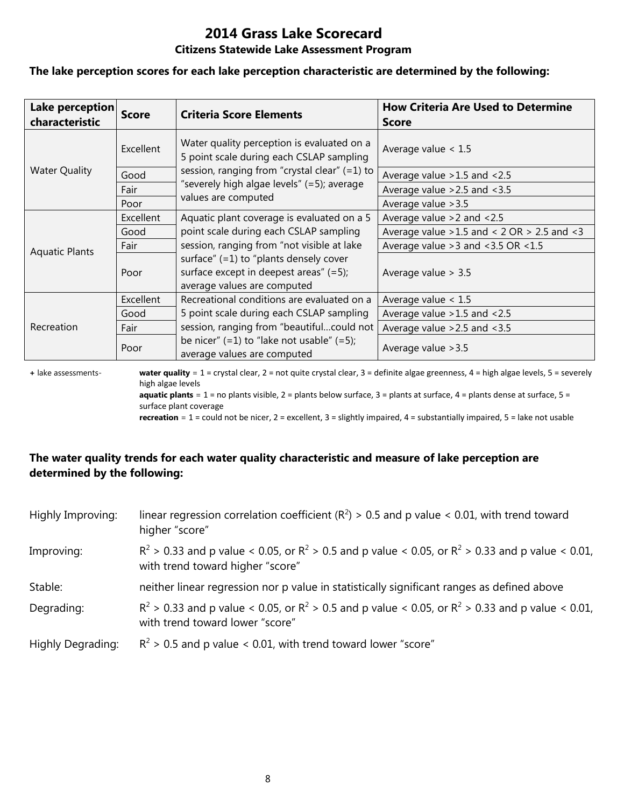# **2014 Grass Lake Scorecard**

### **Citizens Statewide Lake Assessment Program**

#### **The lake perception scores for each lake perception characteristic are determined by the following:**

| Lake perception<br>characteristic | <b>Score</b> | <b>Criteria Score Elements</b>                                                                                    | <b>How Criteria Are Used to Determine</b><br><b>Score</b> |  |
|-----------------------------------|--------------|-------------------------------------------------------------------------------------------------------------------|-----------------------------------------------------------|--|
|                                   | Excellent    | Water quality perception is evaluated on a<br>5 point scale during each CSLAP sampling                            | Average value $< 1.5$                                     |  |
| <b>Water Quality</b>              | Good         | session, ranging from "crystal clear" (=1) to                                                                     | Average value > 1.5 and < 2.5                             |  |
|                                   | Fair         | "severely high algae levels" (=5); average                                                                        | Average value $>2.5$ and $<3.5$                           |  |
|                                   | Poor         | values are computed                                                                                               | Average value > 3.5                                       |  |
|                                   | Excellent    | Aquatic plant coverage is evaluated on a 5                                                                        | Average value $>2$ and $< 2.5$                            |  |
|                                   | Good         | point scale during each CSLAP sampling                                                                            | Average value $>1.5$ and < 2 OR $> 2.5$ and < 3           |  |
| <b>Aquatic Plants</b>             | Fair         | session, ranging from "not visible at lake                                                                        | Average value $>3$ and $<3.5$ OR $<1.5$                   |  |
|                                   | Poor         | surface" $(=1)$ to "plants densely cover<br>surface except in deepest areas" (=5);<br>average values are computed | Average value $> 3.5$                                     |  |
|                                   | Excellent    | Recreational conditions are evaluated on a                                                                        | Average value $< 1.5$                                     |  |
| Recreation                        | Good         | 5 point scale during each CSLAP sampling                                                                          | Average value $>1.5$ and $<2.5$                           |  |
|                                   | Fair         | session, ranging from "beautifulcould not                                                                         | Average value $>2.5$ and $<3.5$                           |  |
|                                   | Poor         | be nicer" $(=1)$ to "lake not usable" $(=5)$ ;<br>average values are computed                                     | Average value > 3.5                                       |  |

**+** lake assessments- **water quality** = 1 = crystal clear, 2 = not quite crystal clear, 3 = definite algae greenness, 4 = high algae levels, 5 = severely high algae levels **aquatic plants** = 1 = no plants visible, 2 = plants below surface, 3 = plants at surface, 4 = plants dense at surface, 5 =

surface plant coverage

**recreation** = 1 = could not be nicer, 2 = excellent, 3 = slightly impaired, 4 = substantially impaired, 5 = lake not usable

## **The water quality trends for each water quality characteristic and measure of lake perception are determined by the following:**

| Highly Improving:        | linear regression correlation coefficient ( $R^2$ ) > 0.5 and p value < 0.01, with trend toward<br>higher "score"                           |
|--------------------------|---------------------------------------------------------------------------------------------------------------------------------------------|
| Improving:               | $R^2 > 0.33$ and p value < 0.05, or $R^2 > 0.5$ and p value < 0.05, or $R^2 > 0.33$ and p value < 0.01,<br>with trend toward higher "score" |
| Stable:                  | neither linear regression nor p value in statistically significant ranges as defined above                                                  |
| Degrading:               | $R^2 > 0.33$ and p value < 0.05, or $R^2 > 0.5$ and p value < 0.05, or $R^2 > 0.33$ and p value < 0.01,<br>with trend toward lower "score"  |
| <b>Highly Degrading:</b> | $R^2$ > 0.5 and p value < 0.01, with trend toward lower "score"                                                                             |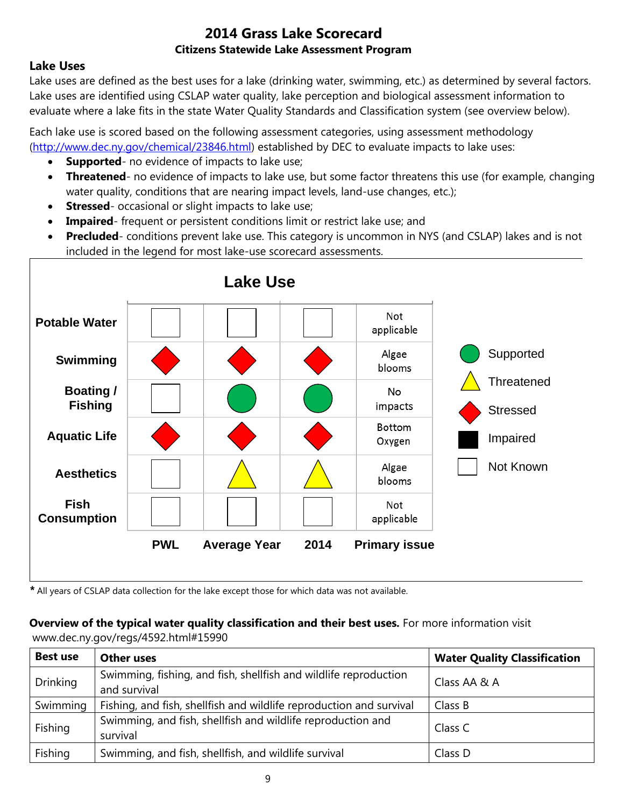### **Lake Uses**

Lake uses are defined as the best uses for a lake (drinking water, swimming, etc.) as determined by several factors. Lake uses are identified using CSLAP water quality, lake perception and biological assessment information to evaluate where a lake fits in the state Water Quality Standards and Classification system (see overview below).

Each lake use is scored based on the following assessment categories, using assessment methodology [\(http://www.dec.ny.gov/chemical/23846.html\)](http://www.dec.ny.gov/chemical/23846.html) established by DEC to evaluate impacts to lake uses:

- **Supported** no evidence of impacts to lake use;
- **Threatened** no evidence of impacts to lake use, but some factor threatens this use (for example, changing water quality, conditions that are nearing impact levels, land-use changes, etc.);
- **Stressed** occasional or slight impacts to lake use;
- **Impaired** frequent or persistent conditions limit or restrict lake use; and
- **Precluded** conditions prevent lake use. This category is uncommon in NYS (and CSLAP) lakes and is not included in the legend for most lake-use scorecard assessments.



*\** All years of CSLAP data collection for the lake except those for which data was not available.

### **Overview of the typical water quality classification and their best uses.** For more information visit

www.dec.ny.gov/regs/4592.html#15990

| <b>Best use</b> | <b>Other uses</b>                                                                | <b>Water Quality Classification</b> |
|-----------------|----------------------------------------------------------------------------------|-------------------------------------|
| <b>Drinking</b> | Swimming, fishing, and fish, shellfish and wildlife reproduction<br>and survival | Class AA & A                        |
| Swimming        | Fishing, and fish, shellfish and wildlife reproduction and survival              | Class B                             |
| Fishing         | Swimming, and fish, shellfish and wildlife reproduction and<br>survival          | Class C                             |
| Fishing         | Swimming, and fish, shellfish, and wildlife survival                             | Class D                             |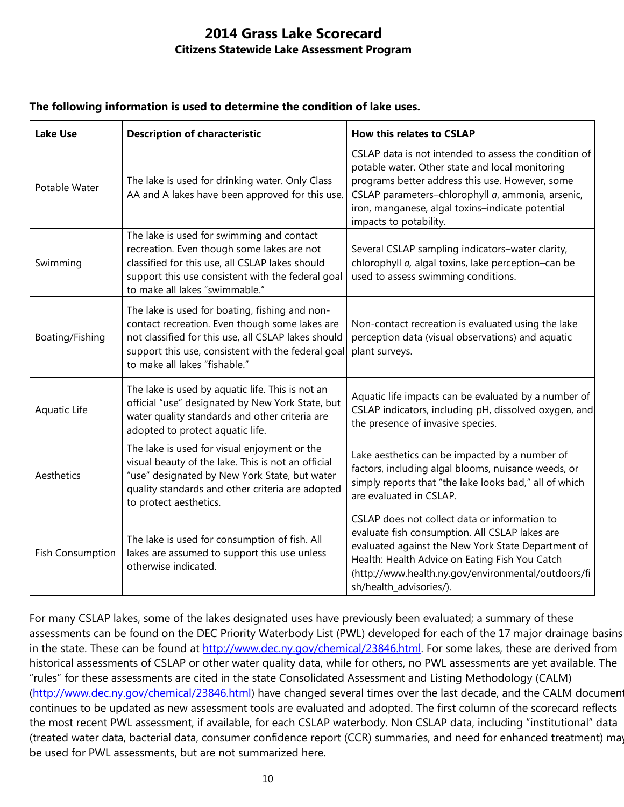| <b>Lake Use</b>         | <b>Description of characteristic</b>                                                                                                                                                                                                           | How this relates to CSLAP                                                                                                                                                                                                                                                                      |  |
|-------------------------|------------------------------------------------------------------------------------------------------------------------------------------------------------------------------------------------------------------------------------------------|------------------------------------------------------------------------------------------------------------------------------------------------------------------------------------------------------------------------------------------------------------------------------------------------|--|
| Potable Water           | The lake is used for drinking water. Only Class<br>AA and A lakes have been approved for this use.                                                                                                                                             | CSLAP data is not intended to assess the condition of<br>potable water. Other state and local monitoring<br>programs better address this use. However, some<br>CSLAP parameters-chlorophyll a, ammonia, arsenic,<br>iron, manganese, algal toxins-indicate potential<br>impacts to potability. |  |
| Swimming                | The lake is used for swimming and contact<br>recreation. Even though some lakes are not<br>classified for this use, all CSLAP lakes should<br>support this use consistent with the federal goal<br>to make all lakes "swimmable."              | Several CSLAP sampling indicators-water clarity,<br>chlorophyll a, algal toxins, lake perception-can be<br>used to assess swimming conditions.                                                                                                                                                 |  |
| Boating/Fishing         | The lake is used for boating, fishing and non-<br>contact recreation. Even though some lakes are<br>not classified for this use, all CSLAP lakes should<br>support this use, consistent with the federal goal<br>to make all lakes "fishable." | Non-contact recreation is evaluated using the lake<br>perception data (visual observations) and aquatic<br>plant surveys.                                                                                                                                                                      |  |
| Aquatic Life            | The lake is used by aquatic life. This is not an<br>official "use" designated by New York State, but<br>water quality standards and other criteria are<br>adopted to protect aquatic life.                                                     | Aquatic life impacts can be evaluated by a number of<br>CSLAP indicators, including pH, dissolved oxygen, and<br>the presence of invasive species.                                                                                                                                             |  |
| Aesthetics              | The lake is used for visual enjoyment or the<br>visual beauty of the lake. This is not an official<br>"use" designated by New York State, but water<br>quality standards and other criteria are adopted<br>to protect aesthetics.              | Lake aesthetics can be impacted by a number of<br>factors, including algal blooms, nuisance weeds, or<br>simply reports that "the lake looks bad," all of which<br>are evaluated in CSLAP.                                                                                                     |  |
| <b>Fish Consumption</b> | The lake is used for consumption of fish. All<br>lakes are assumed to support this use unless<br>otherwise indicated.                                                                                                                          | CSLAP does not collect data or information to<br>evaluate fish consumption. All CSLAP lakes are<br>evaluated against the New York State Department of<br>Health: Health Advice on Eating Fish You Catch<br>(http://www.health.ny.gov/environmental/outdoors/fi<br>sh/health_advisories/).      |  |

### **The following information is used to determine the condition of lake uses.**

For many CSLAP lakes, some of the lakes designated uses have previously been evaluated; a summary of these assessments can be found on the DEC Priority Waterbody List (PWL) developed for each of the 17 major drainage basins in the state. These can be found at [http://www.dec.ny.gov/chemical/23846.html.](http://www.dec.ny.gov/chemical/23846.html) For some lakes, these are derived from historical assessments of CSLAP or other water quality data, while for others, no PWL assessments are yet available. The "rules" for these assessments are cited in the state Consolidated Assessment and Listing Methodology (CALM) [\(http://www.dec.ny.gov/chemical/23846.html\)](http://www.dec.ny.gov/chemical/23846.html) have changed several times over the last decade, and the CALM document continues to be updated as new assessment tools are evaluated and adopted. The first column of the scorecard reflects the most recent PWL assessment, if available, for each CSLAP waterbody. Non CSLAP data, including "institutional" data (treated water data, bacterial data, consumer confidence report (CCR) summaries, and need for enhanced treatment) may be used for PWL assessments, but are not summarized here.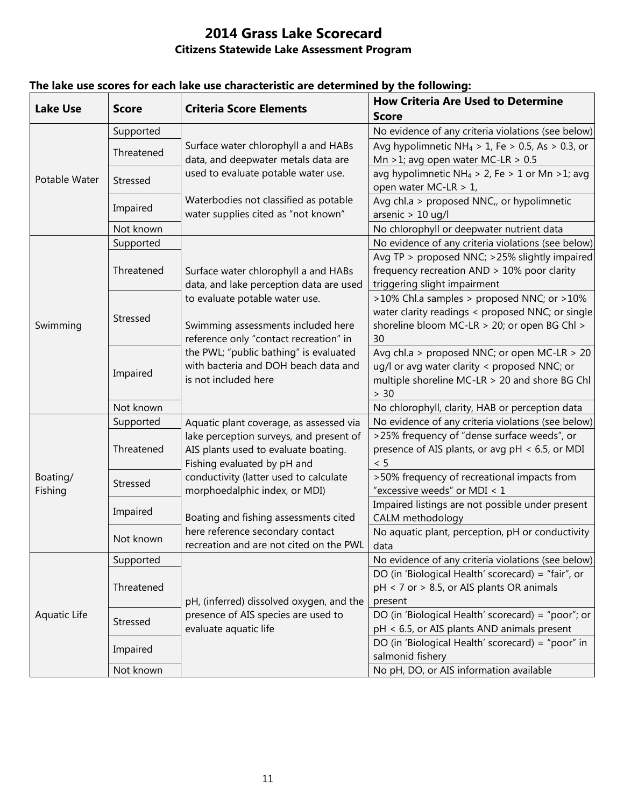| <b>Lake Use</b>     | <b>Score</b> | <b>Criteria Score Elements</b>           | <b>How Criteria Are Used to Determine</b>                    |
|---------------------|--------------|------------------------------------------|--------------------------------------------------------------|
|                     |              |                                          | <b>Score</b>                                                 |
|                     | Supported    |                                          | No evidence of any criteria violations (see below)           |
|                     | Threatened   | Surface water chlorophyll a and HABs     | Avg hypolimnetic NH <sub>4</sub> > 1, Fe > 0.5, As > 0.3, or |
| Potable Water       |              | data, and deepwater metals data are      | Mn > 1; avg open water MC-LR > $0.5$                         |
|                     | Stressed     | used to evaluate potable water use.      | avg hypolimnetic NH <sub>4</sub> > 2, Fe > 1 or Mn > 1; avg  |
|                     |              |                                          | open water MC-LR > 1,                                        |
|                     | Impaired     | Waterbodies not classified as potable    | Avg chl.a > proposed NNC,, or hypolimnetic                   |
|                     |              | water supplies cited as "not known"      | arsenic $> 10$ ug/l                                          |
|                     | Not known    |                                          | No chlorophyll or deepwater nutrient data                    |
|                     | Supported    |                                          | No evidence of any criteria violations (see below)           |
|                     |              |                                          | Avg TP > proposed NNC; >25% slightly impaired                |
|                     | Threatened   | Surface water chlorophyll a and HABs     | frequency recreation AND > 10% poor clarity                  |
|                     |              | data, and lake perception data are used  | triggering slight impairment                                 |
|                     |              | to evaluate potable water use.           | >10% Chl.a samples > proposed NNC; or >10%                   |
|                     | Stressed     |                                          | water clarity readings < proposed NNC; or single             |
| Swimming            |              | Swimming assessments included here       | shoreline bloom MC-LR > 20; or open BG Chl >                 |
|                     |              | reference only "contact recreation" in   | 30                                                           |
|                     |              | the PWL; "public bathing" is evaluated   | Avg chl.a > proposed NNC; or open MC-LR > 20                 |
|                     | Impaired     | with bacteria and DOH beach data and     | ug/l or avg water clarity < proposed NNC; or                 |
|                     |              | is not included here                     | multiple shoreline MC-LR > 20 and shore BG Chl               |
|                     |              |                                          | > 30                                                         |
|                     | Not known    |                                          | No chlorophyll, clarity, HAB or perception data              |
|                     | Supported    | Aquatic plant coverage, as assessed via  | No evidence of any criteria violations (see below)           |
|                     |              | lake perception surveys, and present of  | >25% frequency of "dense surface weeds", or                  |
|                     | Threatened   | AIS plants used to evaluate boating.     | presence of AIS plants, or avg pH < 6.5, or MDI              |
| Boating/<br>Fishing |              | Fishing evaluated by pH and              | < 5                                                          |
|                     | Stressed     | conductivity (latter used to calculate   | >50% frequency of recreational impacts from                  |
|                     |              | morphoedalphic index, or MDI)            | "excessive weeds" or MDI < 1                                 |
|                     |              |                                          | Impaired listings are not possible under present             |
|                     | Impaired     | Boating and fishing assessments cited    | CALM methodology                                             |
|                     |              | here reference secondary contact         | No aquatic plant, perception, pH or conductivity             |
|                     | Not known    | recreation and are not cited on the PWL  |                                                              |
|                     |              |                                          | data                                                         |
|                     | Supported    |                                          | No evidence of any criteria violations (see below)           |
|                     |              |                                          | DO (in 'Biological Health' scorecard) = "fair", or           |
|                     | Threatened   |                                          | pH < 7 or > 8.5, or AIS plants OR animals                    |
| Aquatic Life        |              | pH, (inferred) dissolved oxygen, and the | present                                                      |
|                     | Stressed     | presence of AIS species are used to      | DO (in 'Biological Health' scorecard) = "poor"; or           |
|                     |              | evaluate aquatic life                    | pH < 6.5, or AIS plants AND animals present                  |
|                     | Impaired     |                                          | DO (in 'Biological Health' scorecard) = "poor" in            |
|                     |              |                                          | salmonid fishery                                             |
|                     | Not known    |                                          | No pH, DO, or AIS information available                      |

## **The lake use scores for each lake use characteristic are determined by the following:**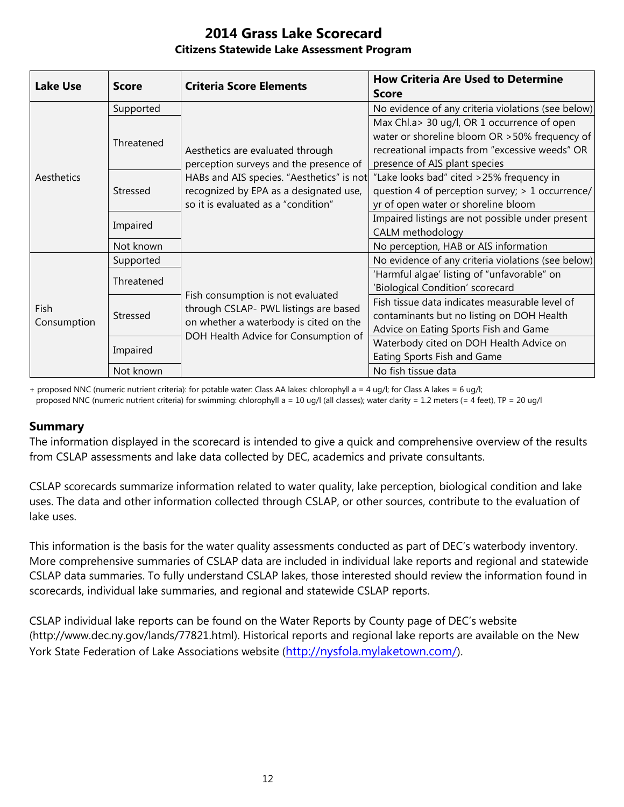| <b>Lake Use</b>            | <b>Score</b> | <b>Criteria Score Elements</b>                                                                                                                                                                           | <b>How Criteria Are Used to Determine</b><br><b>Score</b>                                                                                                                        |
|----------------------------|--------------|----------------------------------------------------------------------------------------------------------------------------------------------------------------------------------------------------------|----------------------------------------------------------------------------------------------------------------------------------------------------------------------------------|
| Aesthetics                 | Supported    | Aesthetics are evaluated through<br>perception surveys and the presence of<br>HABs and AIS species. "Aesthetics" is not<br>recognized by EPA as a designated use,<br>so it is evaluated as a "condition" | No evidence of any criteria violations (see below)                                                                                                                               |
|                            | Threatened   |                                                                                                                                                                                                          | Max Chl.a> 30 ug/l, OR 1 occurrence of open<br>water or shoreline bloom OR > 50% frequency of<br>recreational impacts from "excessive weeds" OR<br>presence of AIS plant species |
|                            | Stressed     |                                                                                                                                                                                                          | "Lake looks bad" cited >25% frequency in<br>question 4 of perception survey; > 1 occurrence/<br>yr of open water or shoreline bloom                                              |
|                            | Impaired     |                                                                                                                                                                                                          | Impaired listings are not possible under present<br>CALM methodology                                                                                                             |
|                            | Not known    |                                                                                                                                                                                                          | No perception, HAB or AIS information                                                                                                                                            |
| <b>Fish</b><br>Consumption | Supported    | Fish consumption is not evaluated<br>through CSLAP- PWL listings are based<br>on whether a waterbody is cited on the<br>DOH Health Advice for Consumption of                                             | No evidence of any criteria violations (see below)                                                                                                                               |
|                            | Threatened   |                                                                                                                                                                                                          | 'Harmful algae' listing of "unfavorable" on<br>'Biological Condition' scorecard                                                                                                  |
|                            | Stressed     |                                                                                                                                                                                                          | Fish tissue data indicates measurable level of<br>contaminants but no listing on DOH Health<br>Advice on Eating Sports Fish and Game                                             |
|                            | Impaired     |                                                                                                                                                                                                          | Waterbody cited on DOH Health Advice on<br>Eating Sports Fish and Game                                                                                                           |
|                            | Not known    |                                                                                                                                                                                                          | No fish tissue data                                                                                                                                                              |

+ proposed NNC (numeric nutrient criteria): for potable water: Class AA lakes: chlorophyll a = 4 ug/l; for Class A lakes = 6 ug/l; proposed NNC (numeric nutrient criteria) for swimming: chlorophyll a = 10 ug/l (all classes); water clarity = 1.2 meters (= 4 feet), TP = 20 ug/l

### **Summary**

The information displayed in the scorecard is intended to give a quick and comprehensive overview of the results from CSLAP assessments and lake data collected by DEC, academics and private consultants.

CSLAP scorecards summarize information related to water quality, lake perception, biological condition and lake uses. The data and other information collected through CSLAP, or other sources, contribute to the evaluation of lake uses.

This information is the basis for the water quality assessments conducted as part of DEC's waterbody inventory. More comprehensive summaries of CSLAP data are included in individual lake reports and regional and statewide CSLAP data summaries. To fully understand CSLAP lakes, those interested should review the information found in scorecards, individual lake summaries, and regional and statewide CSLAP reports.

CSLAP individual lake reports can be found on the Water Reports by County page of DEC's website (http://www.dec.ny.gov/lands/77821.html). Historical reports and regional lake reports are available on the New York State Federation of Lake Associations website (<http://nysfola.mylaketown.com/>).